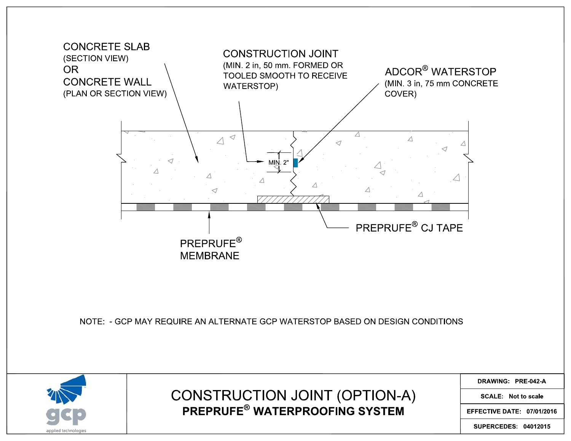